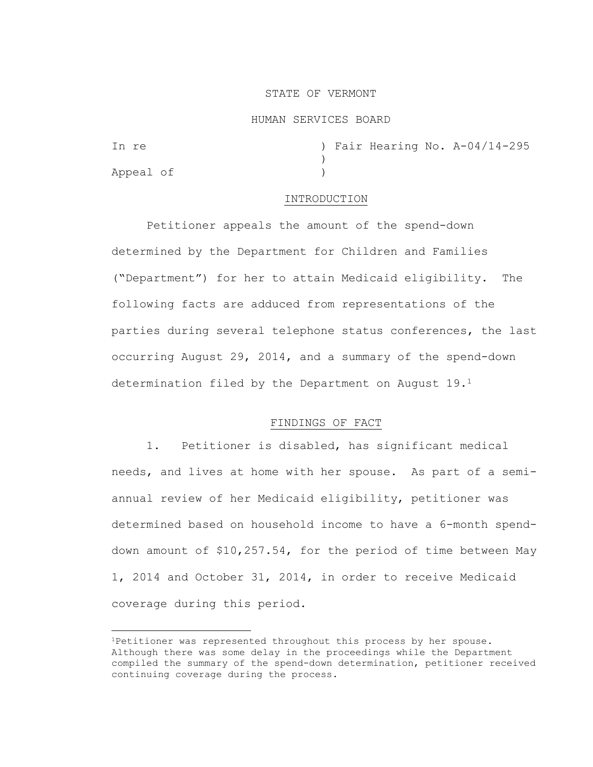## STATE OF VERMONT

#### HUMAN SERVICES BOARD

| In re     |  |  | ) Fair Hearing No. A-04/14-295 |
|-----------|--|--|--------------------------------|
|           |  |  |                                |
| Appeal of |  |  |                                |

## INTRODUCTION

Petitioner appeals the amount of the spend-down determined by the Department for Children and Families ("Department") for her to attain Medicaid eligibility. The following facts are adduced from representations of the parties during several telephone status conferences, the last occurring August 29, 2014, and a summary of the spend-down determination filed by the Department on August 19.<sup>1</sup>

### FINDINGS OF FACT

1. Petitioner is disabled, has significant medical needs, and lives at home with her spouse. As part of a semiannual review of her Medicaid eligibility, petitioner was determined based on household income to have a 6-month spenddown amount of \$10,257.54, for the period of time between May 1, 2014 and October 31, 2014, in order to receive Medicaid coverage during this period.

<sup>1</sup>Petitioner was represented throughout this process by her spouse. Although there was some delay in the proceedings while the Department compiled the summary of the spend-down determination, petitioner received continuing coverage during the process.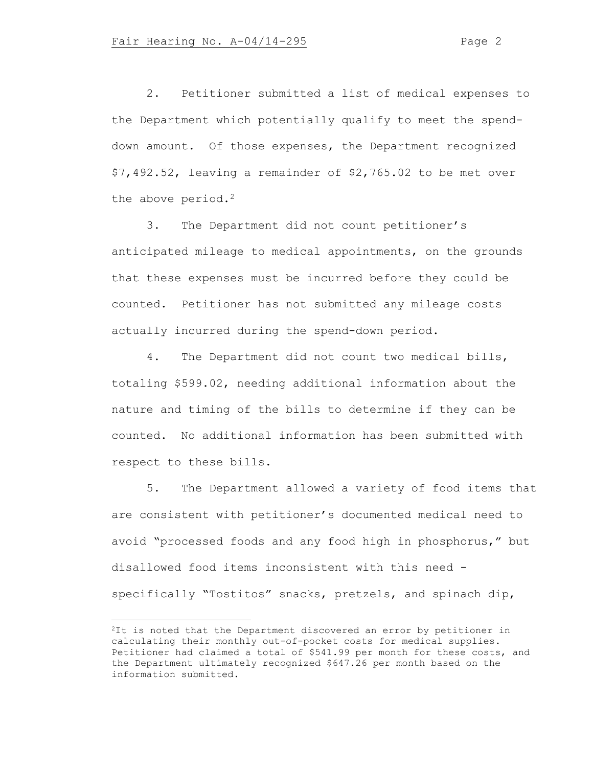2. Petitioner submitted a list of medical expenses to the Department which potentially qualify to meet the spenddown amount. Of those expenses, the Department recognized \$7,492.52, leaving a remainder of \$2,765.02 to be met over the above period.<sup>2</sup>

3. The Department did not count petitioner's anticipated mileage to medical appointments, on the grounds that these expenses must be incurred before they could be counted. Petitioner has not submitted any mileage costs actually incurred during the spend-down period.

4. The Department did not count two medical bills, totaling \$599.02, needing additional information about the nature and timing of the bills to determine if they can be counted. No additional information has been submitted with respect to these bills.

5. The Department allowed a variety of food items that are consistent with petitioner's documented medical need to avoid "processed foods and any food high in phosphorus," but disallowed food items inconsistent with this need specifically "Tostitos" snacks, pretzels, and spinach dip,

<sup>&</sup>lt;sup>2</sup>It is noted that the Department discovered an error by petitioner in calculating their monthly out-of-pocket costs for medical supplies. Petitioner had claimed a total of \$541.99 per month for these costs, and the Department ultimately recognized \$647.26 per month based on the information submitted.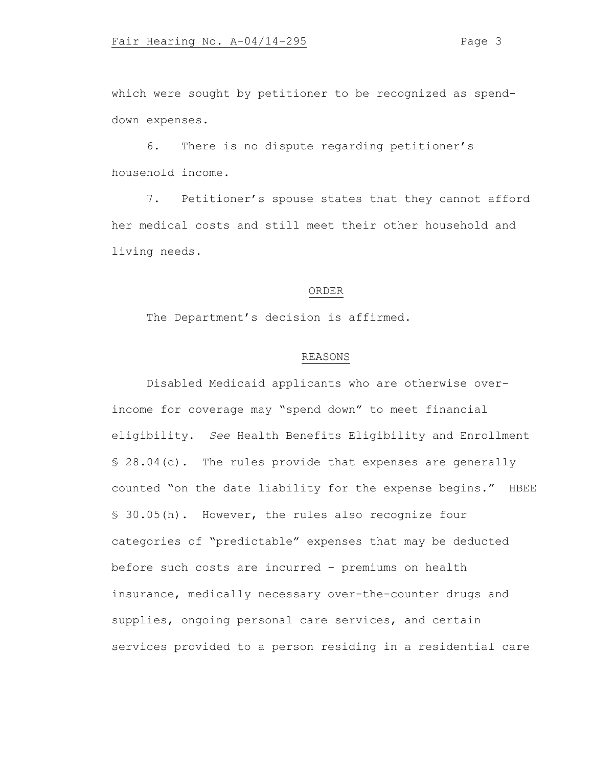which were sought by petitioner to be recognized as spenddown expenses.

6. There is no dispute regarding petitioner's household income.

7. Petitioner's spouse states that they cannot afford her medical costs and still meet their other household and living needs.

## ORDER

The Department's decision is affirmed.

# REASONS

Disabled Medicaid applicants who are otherwise overincome for coverage may "spend down" to meet financial eligibility. *See* Health Benefits Eligibility and Enrollment § 28.04(c). The rules provide that expenses are generally counted "on the date liability for the expense begins." HBEE § 30.05(h). However, the rules also recognize four categories of "predictable" expenses that may be deducted before such costs are incurred – premiums on health insurance, medically necessary over-the-counter drugs and supplies, ongoing personal care services, and certain services provided to a person residing in a residential care